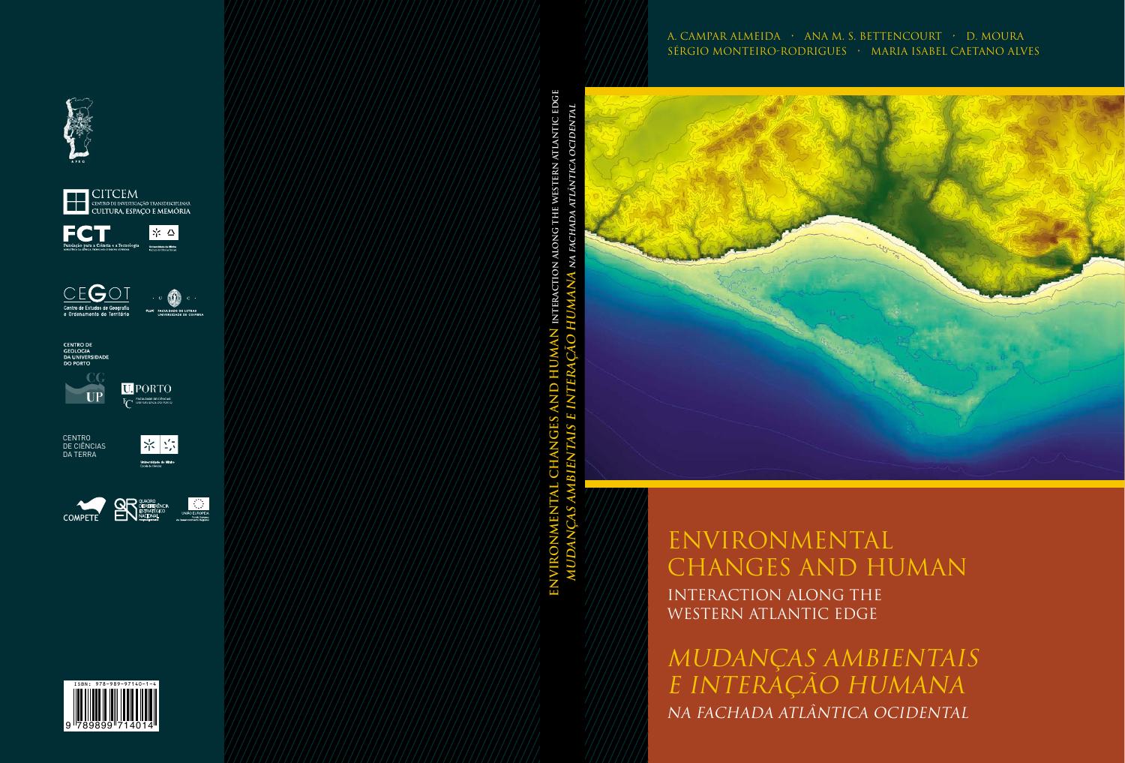### A. Campar Almeida • Ana M. S. Bettencourt • D. Moura Sérgio Monteiro-Rodrigues • Maria Isabel Caetano Alves



# ENVIRONMENTAL CHANGES AND HUMAN INTERACTION ALONG THE WESTERN ATLANTIC EDGE

MUDANÇAS AMBIENTAIS E INTERAÇÃO HUMANA NA FACHADA ATLÂNTICA OCIDENTAL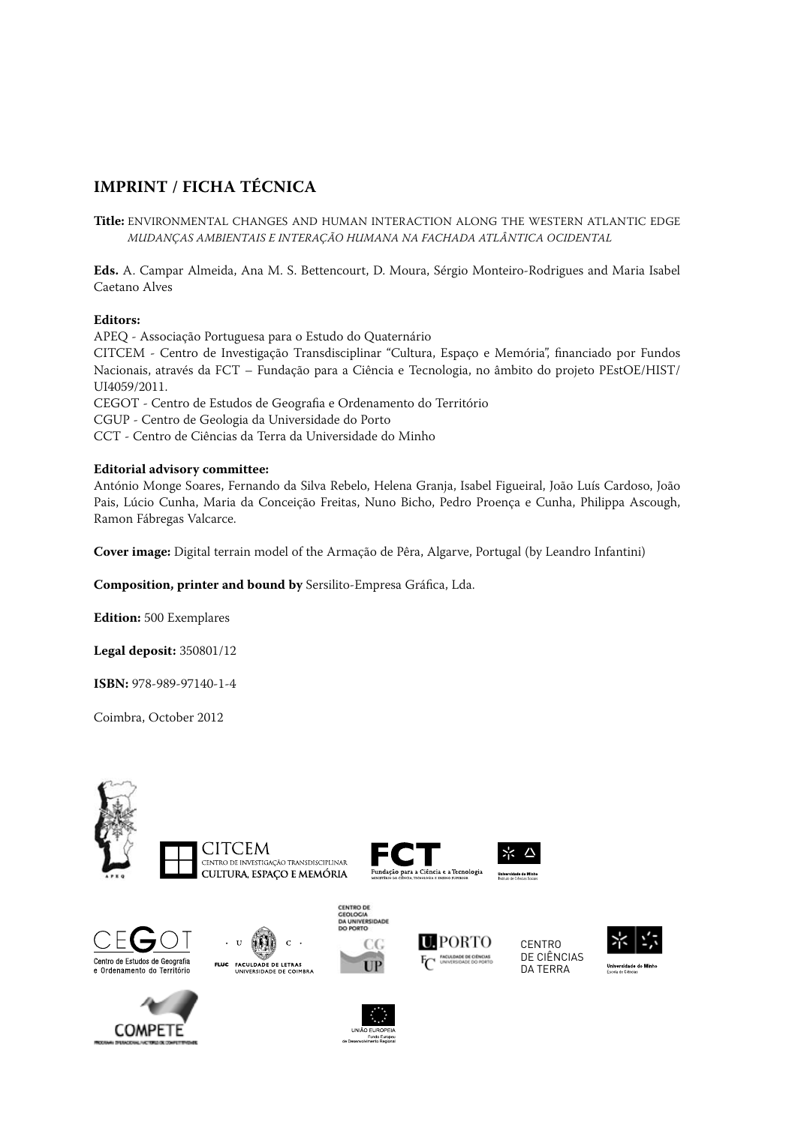#### **IMPRINT / FICHA TÉCNICA**

**Title:** ENVIRONMENTAL CHANGES AND HUMAN INTERACTION ALONG THE WESTERN ATLANTIC EDGE MUDANÇAS AMBIENTAIS E INTERAÇÃO HUMANA NA FACHADA ATLÂNTICA OCIDENTAL

**Eds.** A. Campar Almeida, Ana M. S. Bettencourt, D. Moura, Sérgio Monteiro-Rodrigues and Maria Isabel Caetano Alves

#### **Editors:**

APEQ - Associação Portuguesa para o Estudo do Quaternário CITCEM - Centro de Investigação Transdisciplinar "Cultura, Espaço e Memória", financiado por Fundos Nacionais, através da FCT – Fundação para a Ciência e Tecnologia, no âmbito do projeto PEstOE/HIST/ UI4059/2011. CEGOT - Centro de Estudos de Geografia e Ordenamento do Território CGUP - Centro de Geologia da Universidade do Porto CCT - Centro de Ciências da Terra da Universidade do Minho

#### **Editorial advisory committee:**

António Monge Soares, Fernando da Silva Rebelo, Helena Granja, Isabel Figueiral, João Luís Cardoso, João Pais, Lúcio Cunha, Maria da Conceição Freitas, Nuno Bicho, Pedro Proença e Cunha, Philippa Ascough, Ramon Fábregas Valcarce.

**Cover image:** Digital terrain model of the Armação de Pêra, Algarve, Portugal (by Leandro Infantini)

**Composition, printer and bound by** Sersilito-Empresa Gráfica, Lda.

**Edition:** 500 Exemplares

**Legal deposit:** 350801/12

**ISBN:** 978-989-97140-1-4

Coimbra, October 2012

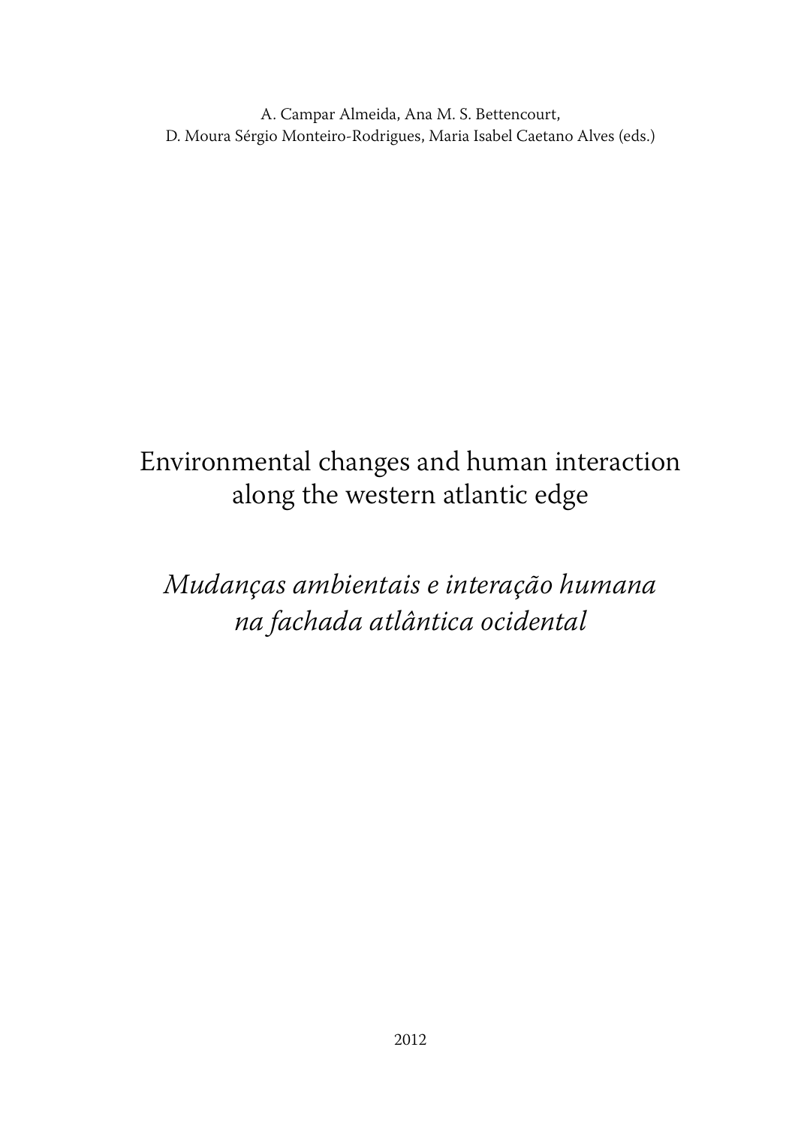A. Campar Almeida, Ana M. S. Bettencourt, D. Moura Sérgio Monteiro-Rodrigues, Maria Isabel Caetano Alves (eds.)

# Environmental changes and human interaction along the western atlantic edge

# Mudanças ambientais e interação humana na fachada atlântica ocidental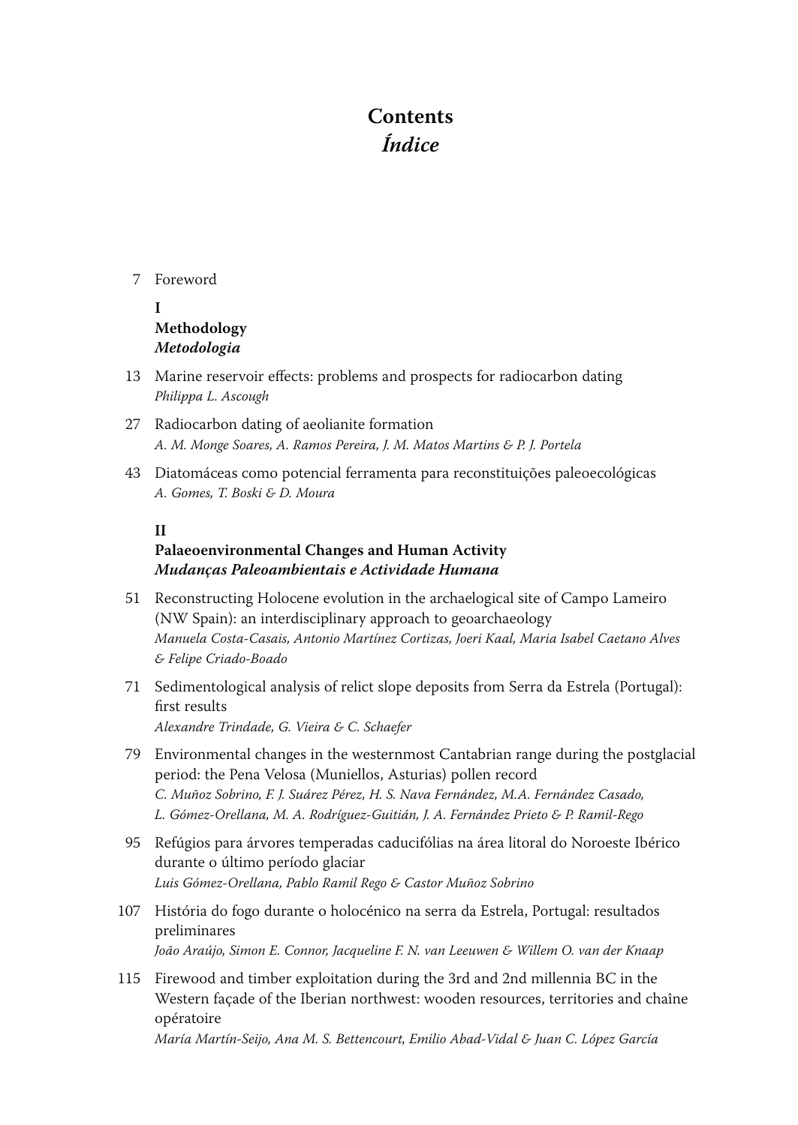## **Contents Índice**

#### 7 Foreword

- **I Methodology Metodologia**
- 13 Marine reservoir effects: problems and prospects for radiocarbon dating Philippa L. Ascough
- 27 Radiocarbon dating of aeolianite formation A. M. Monge Soares, A. Ramos Pereira, J. M. Matos Martins & P. J. Portela
- 43 Diatomáceas como potencial ferramenta para reconstituições paleoecológicas A. Gomes, T. Boski & D. Moura

#### **II**

#### **Palaeoenvironmental Changes and Human Activity Mudanças Paleoambientais e Actividade Humana**

- 51 Reconstructing Holocene evolution in the archaelogical site of Campo Lameiro (NW Spain): an interdisciplinary approach to geoarchaeology Manuela Costa-Casais, Antonio Martínez Cortizas, Joeri Kaal, Maria Isabel Caetano Alves & Felipe Criado-Boado
- 71 Sedimentological analysis of relict slope deposits from Serra da Estrela (Portugal): first results Alexandre Trindade, G. Vieira & C. Schaefer
- 79 Environmental changes in the westernmost Cantabrian range during the postglacial period: the Pena Velosa (Muniellos, Asturias) pollen record C. Muñoz Sobrino, F. J. Suárez Pérez, H. S. Nava Fernández, M.A. Fernández Casado, L. Gómez-Orellana, M. A. Rodríguez-Guitián, J. A. Fernández Prieto & P. Ramil-Rego
- 95 Refúgios para árvores temperadas caducifólias na área litoral do Noroeste Ibérico durante o último período glaciar Luis Gómez-Orellana, Pablo Ramil Rego & Castor Muñoz Sobrino
- 107 História do fogo durante o holocénico na serra da Estrela, Portugal: resultados preliminares João Araújo, Simon E. Connor, Jacqueline F. N. van Leeuwen & Willem O. van der Knaap
- 115 Firewood and timber exploitation during the 3rd and 2nd millennia BC in the Western façade of the Iberian northwest: wooden resources, territories and chaîne opératoire

María Martín-Seijo, Ana M. S. Bettencourt, Emilio Abad-Vidal & Juan C. López García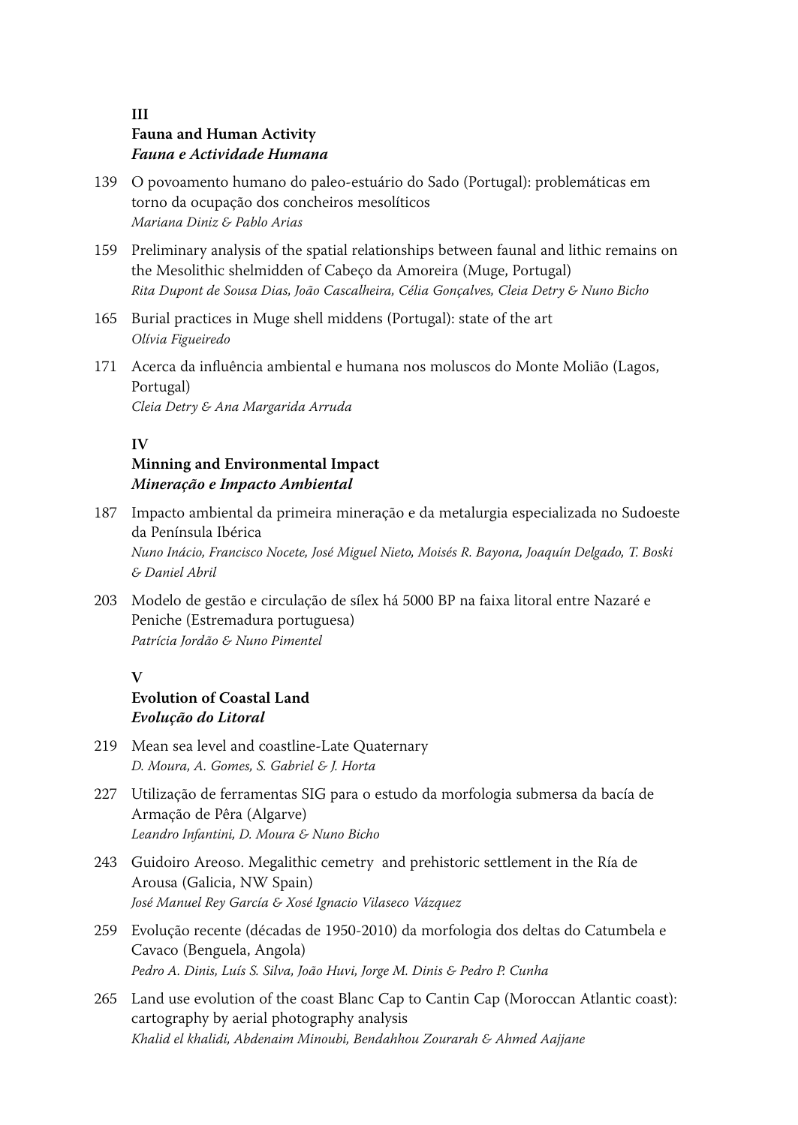#### **III Fauna and Human Activity Fauna e Actividade Humana**

- 139 O povoamento humano do paleo -estuário do Sado (Portugal): problemáticas em torno da ocupação dos concheiros mesolíticos Mariana Diniz & Pablo Arias
- 159 Preliminary analysis of the spatial relationships between faunal and lithic remains on the Mesolithic shelmidden of Cabeço da Amoreira (Muge, Portugal) Rita Dupont de Sousa Dias, João Cascalheira, Célia Gonçalves, Cleia Detry & Nuno Bicho
- 165 Burial practices in Muge shell middens (Portugal): state of the art Olívia Figueiredo
- 171 Acerca da influência ambiental e humana nos moluscos do Monte Molião (Lagos, Portugal) Cleia Detry & Ana Margarida Arruda

#### **IV**

#### **Minning and Environmental Impact Mineração e Impacto Ambiental**

- 187 Impacto ambiental da primeira mineração e da metalurgia especializada no Sudoeste da Península Ibérica Nuno Inácio, Francisco Nocete, José Miguel Nieto, Moisés R. Bayona, Joaquín Delgado, T. Boski & Daniel Abril
- 203 Modelo de gestão e circulação de sílex há 5000 BP na faixa litoral entre Nazaré e Peniche (Estremadura portuguesa) Patrícia Jordão & Nuno Pimentel

#### **V**

### **Evolution of Coastal Land Evolução do Litoral**

- 219 Mean sea level and coastline -Late Quaternary D. Moura, A. Gomes, S. Gabriel & J. Horta
- 227 Utilização de ferramentas SIG para o estudo da morfologia submersa da bacía de Armação de Pêra (Algarve) Leandro Infantini, D. Moura & Nuno Bicho
- 243 Guidoiro Areoso. Megalithic cemetry and prehistoric settlement in the Ría de Arousa (Galicia, NW Spain) José Manuel Rey García & Xosé Ignacio Vilaseco Vázquez
- 259 Evolução recente (décadas de 1950-2010) da morfologia dos deltas do Catumbela e Cavaco (Benguela, Angola) Pedro A. Dinis, Luís S. Silva, João Huvi, Jorge M. Dinis & Pedro P. Cunha
- 265 Land use evolution of the coast Blanc Cap to Cantin Cap (Moroccan Atlantic coast): cartography by aerial photography analysis Khalid el khalidi, Abdenaim Minoubi, Bendahhou Zourarah & Ahmed Aajjane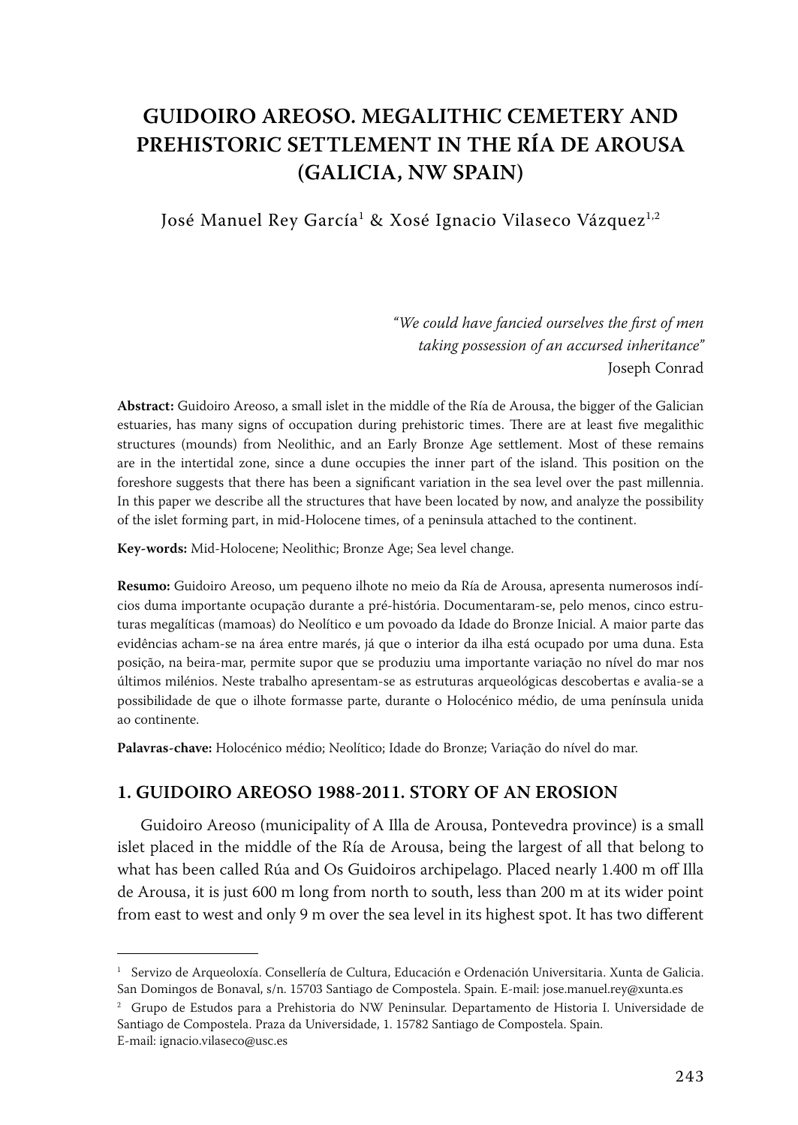## **GUIDOIRO AREOSO. MEGALITHIC CEMETERY AND PREHISTORIC SETTLEMENT IN THE RÍA DE AROUSA (GALICIA, NW SPAIN)**

José Manuel Rey García<sup>1</sup> & Xosé Ignacio Vilaseco Vázquez<sup>1,2</sup>

*"We could have fancied ourselves the first of men taking possession of an accursed inheritance"* Joseph Conrad

**Abstract:** Guidoiro Areoso, a small islet in the middle of the Ría de Arousa, the bigger of the Galician estuaries, has many signs of occupation during prehistoric times. There are at least five megalithic structures (mounds) from Neolithic, and an Early Bronze Age settlement. Most of these remains are in the intertidal zone, since a dune occupies the inner part of the island. This position on the foreshore suggests that there has been a significant variation in the sea level over the past millennia. In this paper we describe all the structures that have been located by now, and analyze the possibility of the islet forming part, in mid -Holocene times, of a peninsula attached to the continent.

Key-words: Mid-Holocene; Neolithic; Bronze Age; Sea level change.

**Resumo:** Guidoiro Areoso, um pequeno ilhote no meio da Ría de Arousa, apresenta numerosos indícios duma importante ocupação durante a pré -história. Documentaram -se, pelo menos, cinco estruturas megalíticas (mamoas) do Neolítico e um povoado da Idade do Bronze Inicial. A maior parte das evidências acham -se na área entre marés, já que o interior da ilha está ocupado por uma duna. Esta posição, na beira -mar, permite supor que se produziu uma importante variação no nível do mar nos últimos milénios. Neste trabalho apresentam -se as estruturas arqueológicas descobertas e avalia -se a possibilidade de que o ilhote formasse parte, durante o Holocénico médio, de uma península unida ao continente.

**Palavras‑chave:** Holocénico médio; Neolítico; Idade do Bronze; Variação do nível do mar.

#### **1. GUIDOIRO AREOSO 1988‑2011. STORY OF AN EROSION**

Guidoiro Areoso (municipality of A Illa de Arousa, Pontevedra province) is a small islet placed in the middle of the Ría de Arousa, being the largest of all that belong to what has been called Rúa and Os Guidoiros archipelago. Placed nearly 1.400 m off Illa de Arousa, it is just 600 m long from north to south, less than 200 m at its wider point from east to west and only 9 m over the sea level in its highest spot. It has two different

<sup>&</sup>lt;sup>1</sup> Servizo de Arqueoloxía. Consellería de Cultura, Educación e Ordenación Universitaria. Xunta de Galicia. San Domingos de Bonaval, s/n. 15703 Santiago de Compostela. Spain. E -mail: jose.manuel.rey@xunta.es

<sup>2</sup> Grupo de Estudos para a Prehistoria do NW Peninsular. Departamento de Historia I. Universidade de Santiago de Compostela. Praza da Universidade, 1. 15782 Santiago de Compostela. Spain.

E-mail: ignacio.vilaseco@usc.es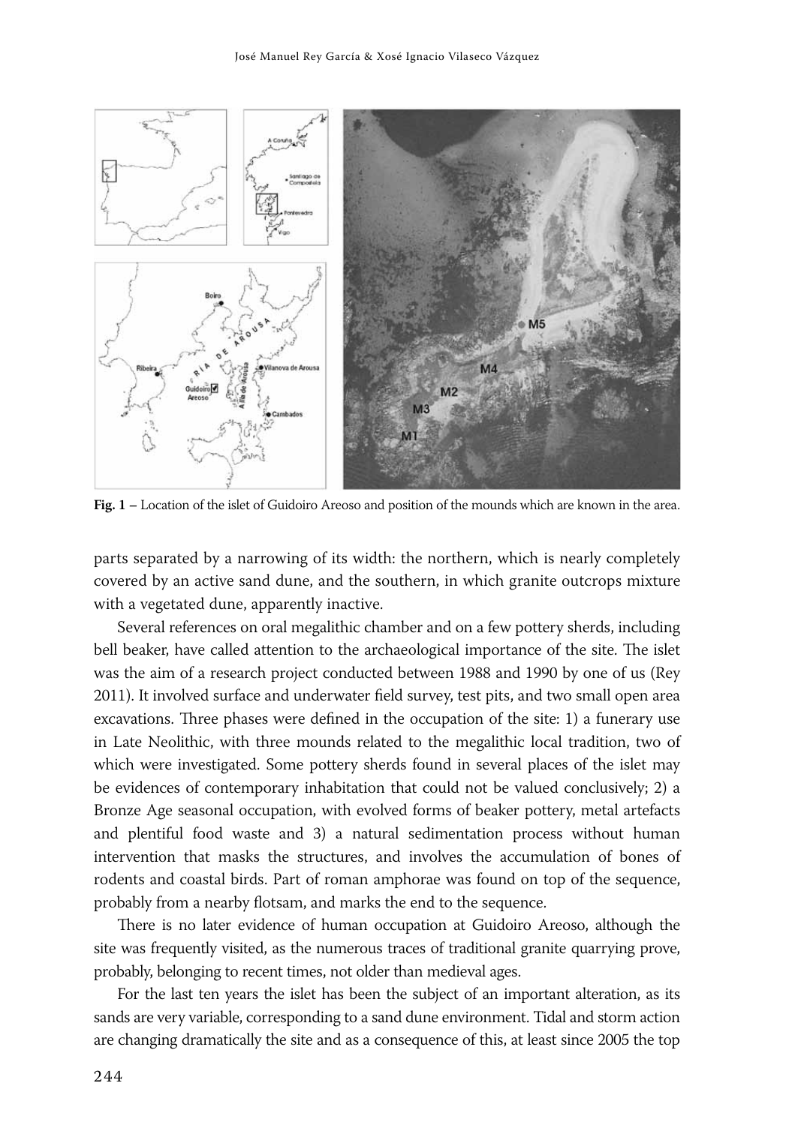

**Fig. 1 –** Location of the islet of Guidoiro Areoso and position of the mounds which are known in the area.

parts separated by a narrowing of its width: the northern, which is nearly completely covered by an active sand dune, and the southern, in which granite outcrops mixture with a vegetated dune, apparently inactive.

Several references on oral megalithic chamber and on a few pottery sherds, including bell beaker, have called attention to the archaeological importance of the site. The islet was the aim of a research project conducted between 1988 and 1990 by one of us (Rey 2011). It involved surface and underwater field survey, test pits, and two small open area excavations. Three phases were defined in the occupation of the site: 1) a funerary use in Late Neolithic, with three mounds related to the megalithic local tradition, two of which were investigated. Some pottery sherds found in several places of the islet may be evidences of contemporary inhabitation that could not be valued conclusively; 2) a Bronze Age seasonal occupation, with evolved forms of beaker pottery, metal artefacts and plentiful food waste and 3) a natural sedimentation process without human intervention that masks the structures, and involves the accumulation of bones of rodents and coastal birds. Part of roman amphorae was found on top of the sequence, probably from a nearby flotsam, and marks the end to the sequence.

There is no later evidence of human occupation at Guidoiro Areoso, although the site was frequently visited, as the numerous traces of traditional granite quarrying prove, probably, belonging to recent times, not older than medieval ages.

For the last ten years the islet has been the subject of an important alteration, as its sands are very variable, corresponding to a sand dune environment. Tidal and storm action are changing dramatically the site and as a consequence of this, at least since 2005 the top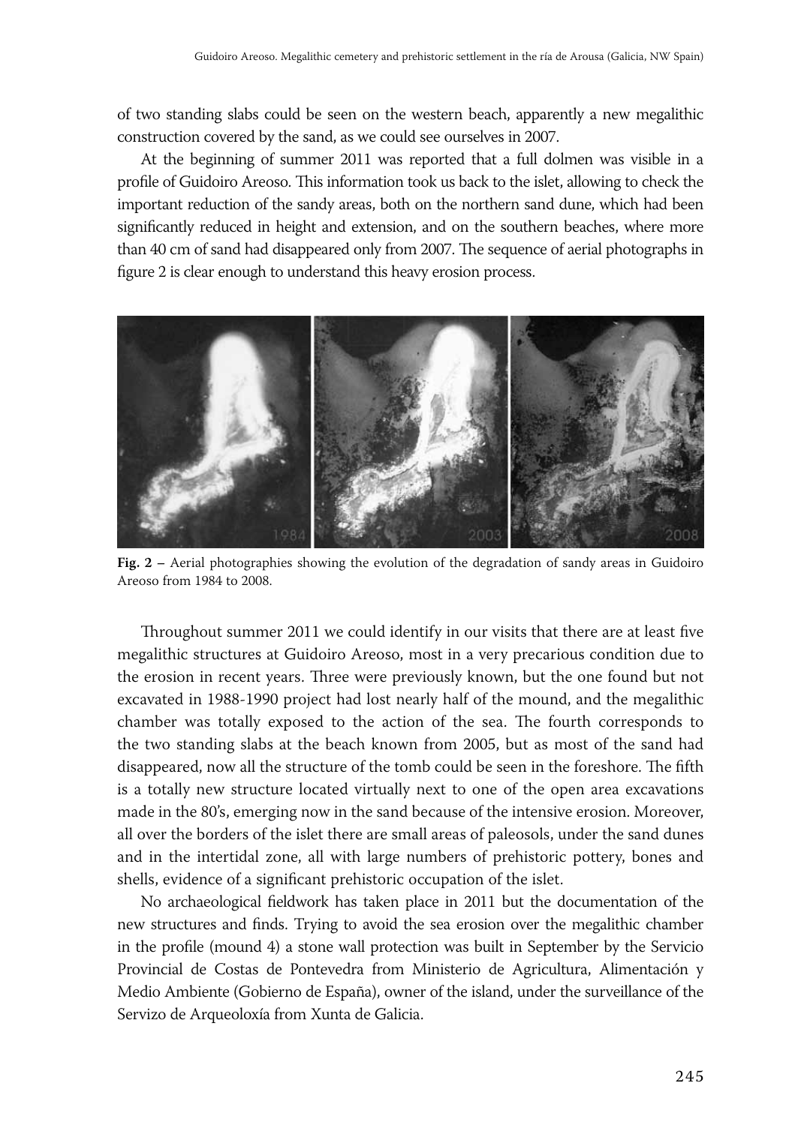of two standing slabs could be seen on the western beach, apparently a new megalithic construction covered by the sand, as we could see ourselves in 2007.

At the beginning of summer 2011 was reported that a full dolmen was visible in a profile of Guidoiro Areoso. This information took us back to the islet, allowing to check the important reduction of the sandy areas, both on the northern sand dune, which had been significantly reduced in height and extension, and on the southern beaches, where more than 40 cm of sand had disappeared only from 2007. The sequence of aerial photographs in figure 2 is clear enough to understand this heavy erosion process.



**Fig. 2 –** Aerial photographies showing the evolution of the degradation of sandy areas in Guidoiro Areoso from 1984 to 2008.

Throughout summer 2011 we could identify in our visits that there are at least five megalithic structures at Guidoiro Areoso, most in a very precarious condition due to the erosion in recent years. Three were previously known, but the one found but not excavated in 1988 -1990 project had lost nearly half of the mound, and the megalithic chamber was totally exposed to the action of the sea. The fourth corresponds to the two standing slabs at the beach known from 2005, but as most of the sand had disappeared, now all the structure of the tomb could be seen in the foreshore. The fifth is a totally new structure located virtually next to one of the open area excavations made in the 80's, emerging now in the sand because of the intensive erosion. Moreover, all over the borders of the islet there are small areas of paleosols, under the sand dunes and in the intertidal zone, all with large numbers of prehistoric pottery, bones and shells, evidence of a significant prehistoric occupation of the islet.

No archaeological fieldwork has taken place in 2011 but the documentation of the new structures and finds. Trying to avoid the sea erosion over the megalithic chamber in the profile (mound 4) a stone wall protection was built in September by the Servicio Provincial de Costas de Pontevedra from Ministerio de Agricultura, Alimentación y Medio Ambiente (Gobierno de España), owner of the island, under the surveillance of the Servizo de Arqueoloxía from Xunta de Galicia.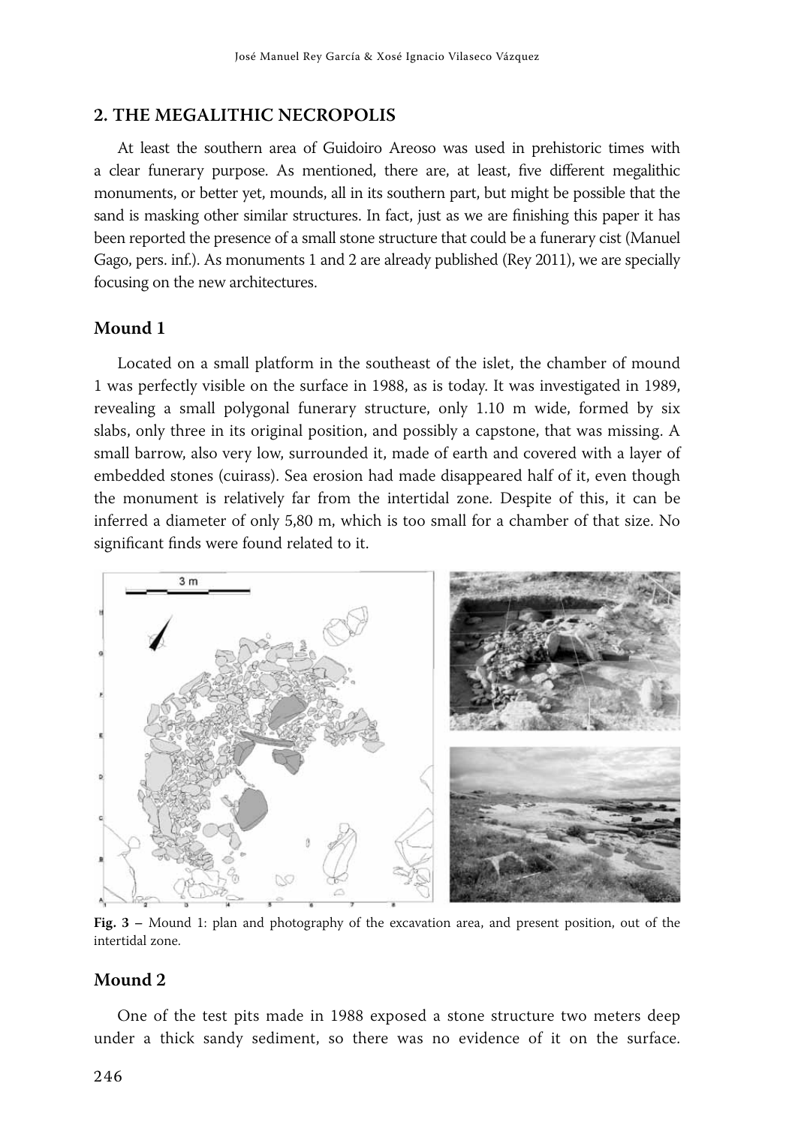#### **2. THE MEGALITHIC NECROPOLIS**

At least the southern area of Guidoiro Areoso was used in prehistoric times with a clear funerary purpose. As mentioned, there are, at least, five different megalithic monuments, or better yet, mounds, all in its southern part, but might be possible that the sand is masking other similar structures. In fact, just as we are finishing this paper it has been reported the presence of a small stone structure that could be a funerary cist (Manuel Gago, pers. inf.). As monuments 1 and 2 are already published (Rey 2011), we are specially focusing on the new architectures.

#### **Mound 1**

Located on a small platform in the southeast of the islet, the chamber of mound 1 was perfectly visible on the surface in 1988, as is today. It was investigated in 1989, revealing a small polygonal funerary structure, only 1.10 m wide, formed by six slabs, only three in its original position, and possibly a capstone, that was missing. A small barrow, also very low, surrounded it, made of earth and covered with a layer of embedded stones (cuirass). Sea erosion had made disappeared half of it, even though the monument is relatively far from the intertidal zone. Despite of this, it can be inferred a diameter of only 5,80 m, which is too small for a chamber of that size. No significant finds were found related to it.



**Fig. 3 –** Mound 1: plan and photography of the excavation area, and present position, out of the intertidal zone.

#### **Mound 2**

One of the test pits made in 1988 exposed a stone structure two meters deep under a thick sandy sediment, so there was no evidence of it on the surface.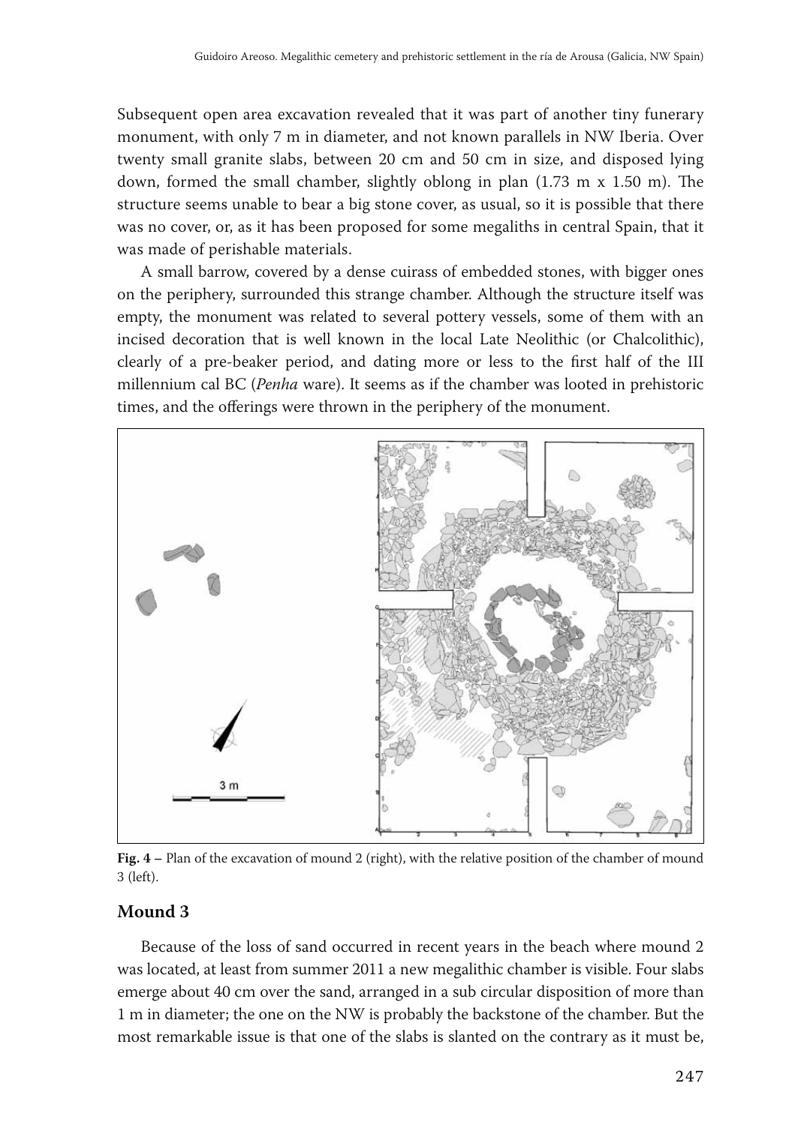Subsequent open area excavation revealed that it was part of another tiny funerary monument, with only 7 m in diameter, and not known parallels in NW Iberia. Over twenty small granite slabs, between 20 cm and 50 cm in size, and disposed lying down, formed the small chamber, slightly oblong in plan (1.73 m x 1.50 m). The structure seems unable to bear a big stone cover, as usual, so it is possible that there was no cover, or, as it has been proposed for some megaliths in central Spain, that it was made of perishable materials.

A small barrow, covered by a dense cuirass of embedded stones, with bigger ones on the periphery, surrounded this strange chamber. Although the structure itself was empty, the monument was related to several pottery vessels, some of them with an incised decoration that is well known in the local Late Neolithic (or Chalcolithic), clearly of a pre -beaker period, and dating more or less to the first half of the III millennium cal BC (*Penha* ware). It seems as if the chamber was looted in prehistoric times, and the offerings were thrown in the periphery of the monument.



**Fig. 4 –** Plan of the excavation of mound 2 (right), with the relative position of the chamber of mound 3 (left).

#### **Mound 3**

Because of the loss of sand occurred in recent years in the beach where mound 2 was located, at least from summer 2011 a new megalithic chamber is visible. Four slabs emerge about 40 cm over the sand, arranged in a sub circular disposition of more than 1 m in diameter; the one on the NW is probably the backstone of the chamber. But the most remarkable issue is that one of the slabs is slanted on the contrary as it must be,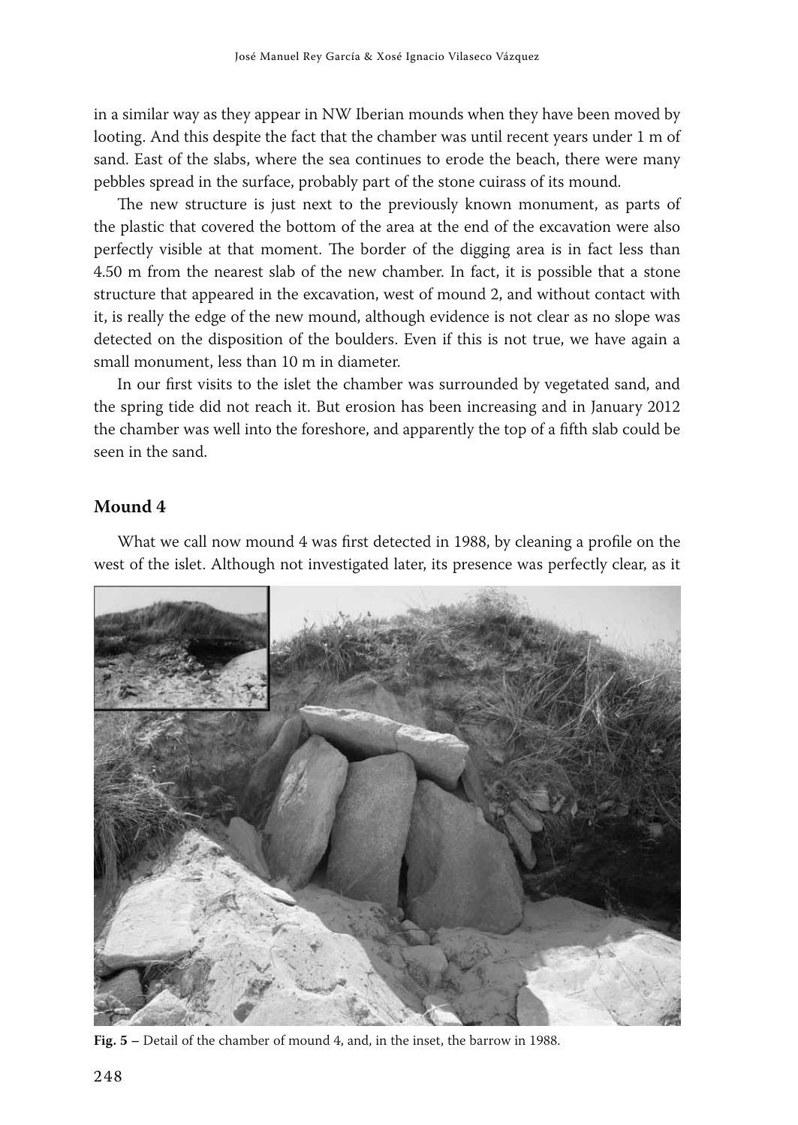in a similar way as they appear in NW Iberian mounds when they have been moved by looting. And this despite the fact that the chamber was until recent years under 1 m of sand. East of the slabs, where the sea continues to erode the beach, there were many pebbles spread in the surface, probably part of the stone cuirass of its mound.

The new structure is just next to the previously known monument, as parts of the plastic that covered the bottom of the area at the end of the excavation were also perfectly visible at that moment. The border of the digging area is in fact less than 4.50 m from the nearest slab of the new chamber. In fact, it is possible that a stone structure that appeared in the excavation, west of mound 2, and without contact with it, is really the edge of the new mound, although evidence is not clear as no slope was detected on the disposition of the boulders. Even if this is not true, we have again a small monument, less than 10 m in diameter.

In our first visits to the islet the chamber was surrounded by vegetated sand, and the spring tide did not reach it. But erosion has been increasing and in January 2012 the chamber was well into the foreshore, and apparently the top of a fifth slab could be seen in the sand.

#### **Mound 4**

What we call now mound 4 was first detected in 1988, by cleaning a profile on the west of the islet. Although not investigated later, its presence was perfectly clear, as it



**Fig. 5 –** Detail of the chamber of mound 4, and, in the inset, the barrow in 1988.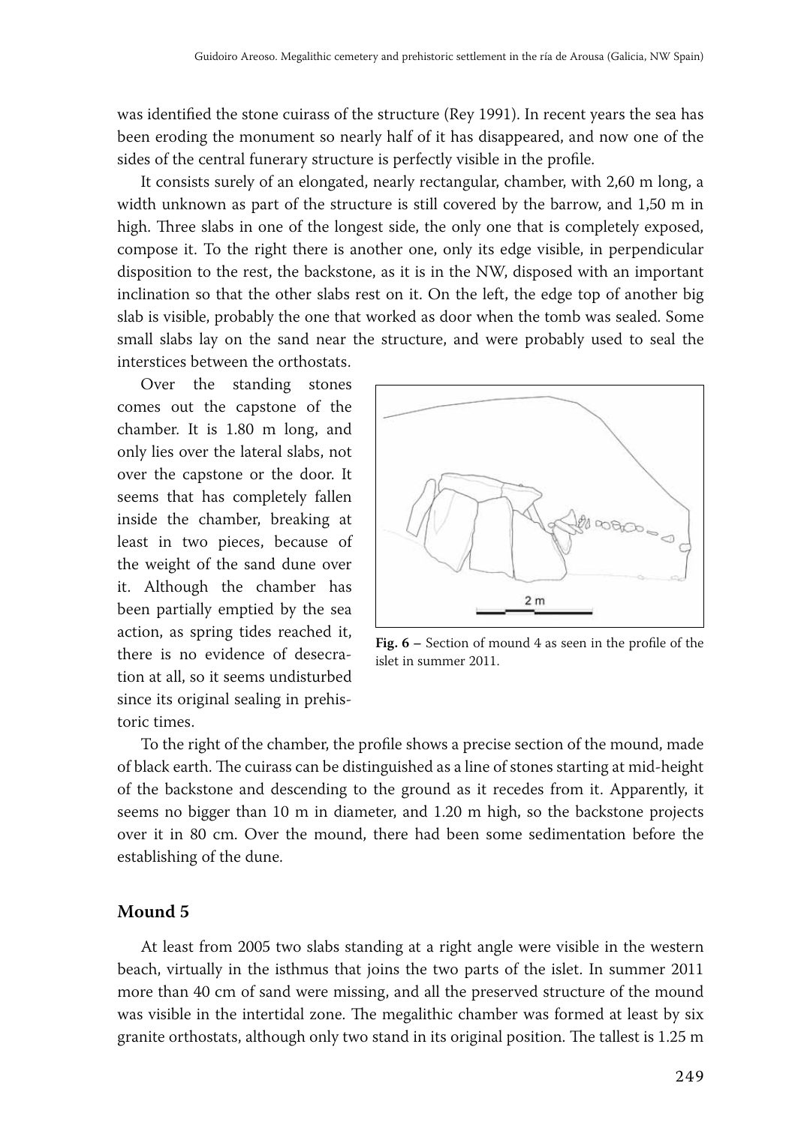was identified the stone cuirass of the structure (Rey 1991). In recent years the sea has been eroding the monument so nearly half of it has disappeared, and now one of the sides of the central funerary structure is perfectly visible in the profile.

It consists surely of an elongated, nearly rectangular, chamber, with 2,60 m long, a width unknown as part of the structure is still covered by the barrow, and 1,50 m in high. Three slabs in one of the longest side, the only one that is completely exposed, compose it. To the right there is another one, only its edge visible, in perpendicular disposition to the rest, the backstone, as it is in the NW, disposed with an important inclination so that the other slabs rest on it. On the left, the edge top of another big slab is visible, probably the one that worked as door when the tomb was sealed. Some small slabs lay on the sand near the structure, and were probably used to seal the interstices between the orthostats.

Over the standing stones comes out the capstone of the chamber. It is 1.80 m long, and only lies over the lateral slabs, not over the capstone or the door. It seems that has completely fallen inside the chamber, breaking at least in two pieces, because of the weight of the sand dune over it. Although the chamber has been partially emptied by the sea action, as spring tides reached it, there is no evidence of desecration at all, so it seems undisturbed since its original sealing in prehistoric times.



**Fig. 6 –** Section of mound 4 as seen in the profile of the islet in summer 2011.

To the right of the chamber, the profile shows a precise section of the mound, made of black earth. The cuirass can be distinguished as a line of stones starting at mid -height of the backstone and descending to the ground as it recedes from it. Apparently, it seems no bigger than 10 m in diameter, and 1.20 m high, so the backstone projects over it in 80 cm. Over the mound, there had been some sedimentation before the establishing of the dune.

#### **Mound 5**

At least from 2005 two slabs standing at a right angle were visible in the western beach, virtually in the isthmus that joins the two parts of the islet. In summer 2011 more than 40 cm of sand were missing, and all the preserved structure of the mound was visible in the intertidal zone. The megalithic chamber was formed at least by six granite orthostats, although only two stand in its original position. The tallest is 1.25 m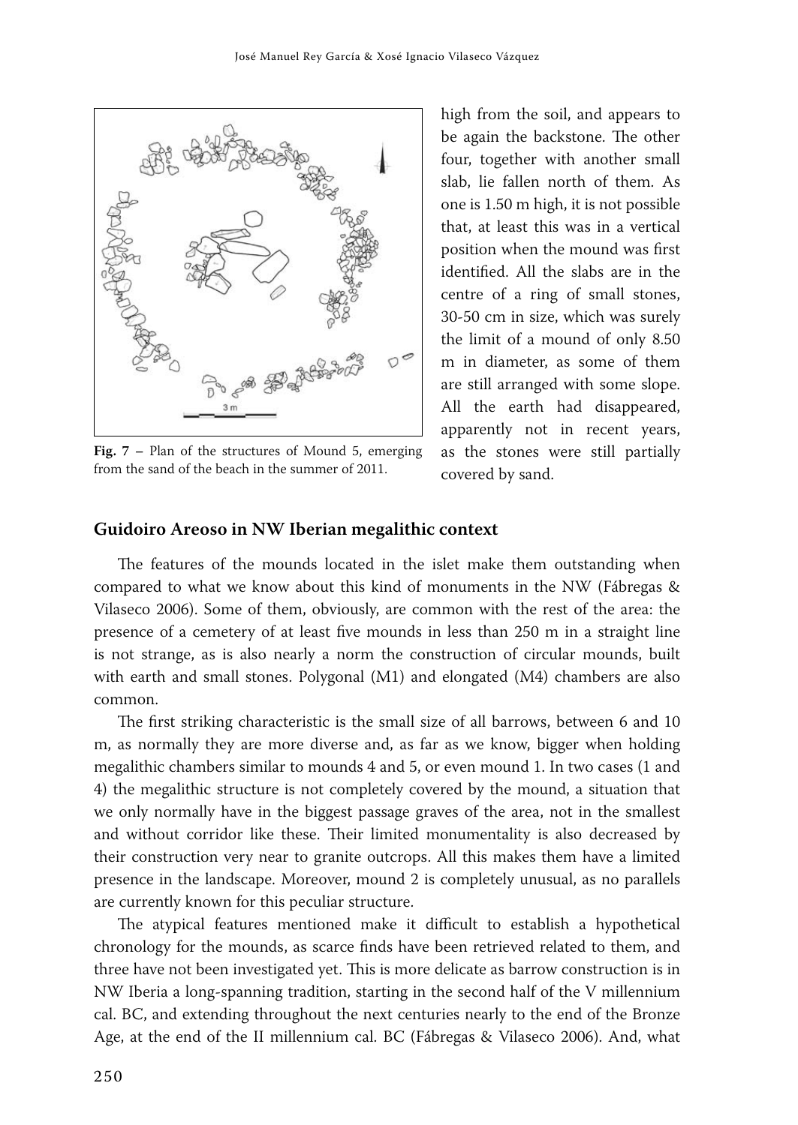

**Fig. 7 –** Plan of the structures of Mound 5, emerging from the sand of the beach in the summer of 2011.

high from the soil, and appears to be again the backstone. The other four, together with another small slab, lie fallen north of them. As one is 1.50 m high, it is not possible that, at least this was in a vertical position when the mound was first identified. All the slabs are in the centre of a ring of small stones, 30 -50 cm in size, which was surely the limit of a mound of only 8.50 m in diameter, as some of them are still arranged with some slope. All the earth had disappeared, apparently not in recent years, as the stones were still partially covered by sand.

#### **Guidoiro Areoso in NW Iberian megalithic context**

The features of the mounds located in the islet make them outstanding when compared to what we know about this kind of monuments in the NW (Fábregas & Vilaseco 2006). Some of them, obviously, are common with the rest of the area: the presence of a cemetery of at least five mounds in less than 250 m in a straight line is not strange, as is also nearly a norm the construction of circular mounds, built with earth and small stones. Polygonal (M1) and elongated (M4) chambers are also common.

The first striking characteristic is the small size of all barrows, between 6 and 10 m, as normally they are more diverse and, as far as we know, bigger when holding megalithic chambers similar to mounds 4 and 5, or even mound 1. In two cases (1 and 4) the megalithic structure is not completely covered by the mound, a situation that we only normally have in the biggest passage graves of the area, not in the smallest and without corridor like these. Their limited monumentality is also decreased by their construction very near to granite outcrops. All this makes them have a limited presence in the landscape. Moreover, mound 2 is completely unusual, as no parallels are currently known for this peculiar structure.

The atypical features mentioned make it difficult to establish a hypothetical chronology for the mounds, as scarce finds have been retrieved related to them, and three have not been investigated yet. This is more delicate as barrow construction is in NW Iberia a long-spanning tradition, starting in the second half of the V millennium cal. BC, and extending throughout the next centuries nearly to the end of the Bronze Age, at the end of the II millennium cal. BC (Fábregas & Vilaseco 2006). And, what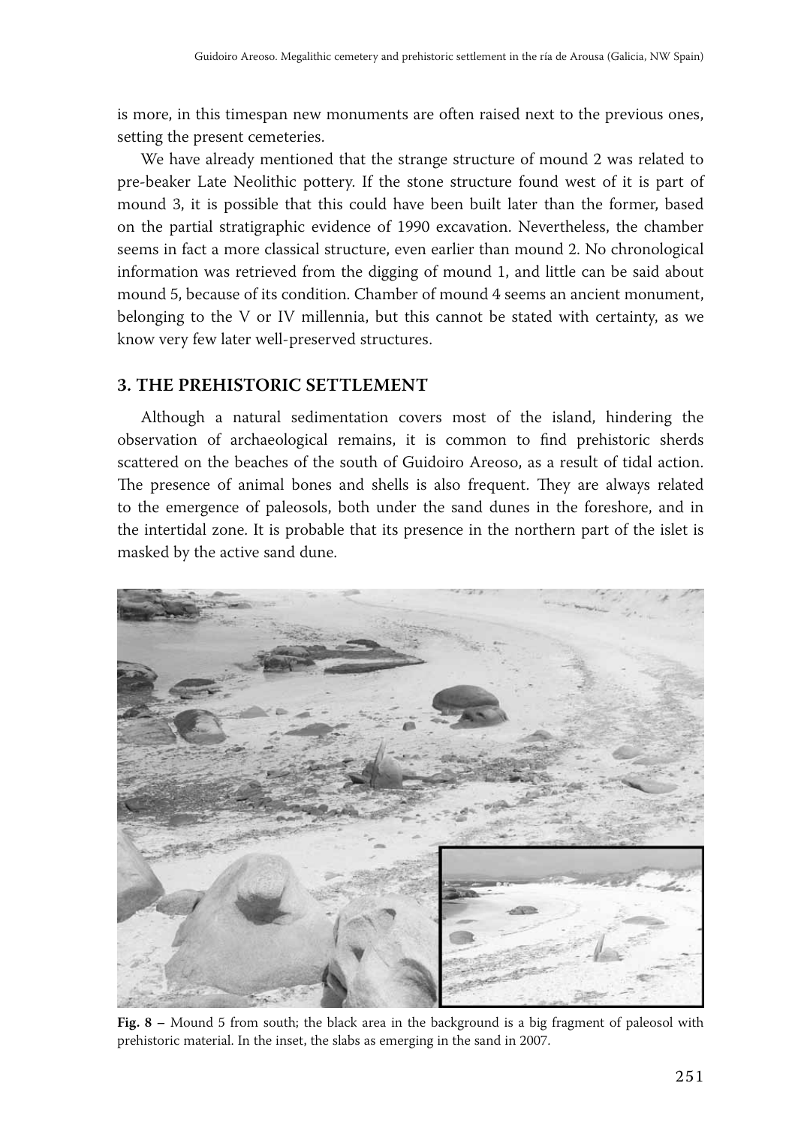is more, in this timespan new monuments are often raised next to the previous ones, setting the present cemeteries.

We have already mentioned that the strange structure of mound 2 was related to pre -beaker Late Neolithic pottery. If the stone structure found west of it is part of mound 3, it is possible that this could have been built later than the former, based on the partial stratigraphic evidence of 1990 excavation. Nevertheless, the chamber seems in fact a more classical structure, even earlier than mound 2. No chronological information was retrieved from the digging of mound 1, and little can be said about mound 5, because of its condition. Chamber of mound 4 seems an ancient monument, belonging to the V or IV millennia, but this cannot be stated with certainty, as we know very few later well-preserved structures.

#### **3. THE PREHISTORIC SETTLEMENT**

Although a natural sedimentation covers most of the island, hindering the observation of archaeological remains, it is common to find prehistoric sherds scattered on the beaches of the south of Guidoiro Areoso, as a result of tidal action. The presence of animal bones and shells is also frequent. They are always related to the emergence of paleosols, both under the sand dunes in the foreshore, and in the intertidal zone. It is probable that its presence in the northern part of the islet is masked by the active sand dune.



**Fig. 8 –** Mound 5 from south; the black area in the background is a big fragment of paleosol with prehistoric material. In the inset, the slabs as emerging in the sand in 2007.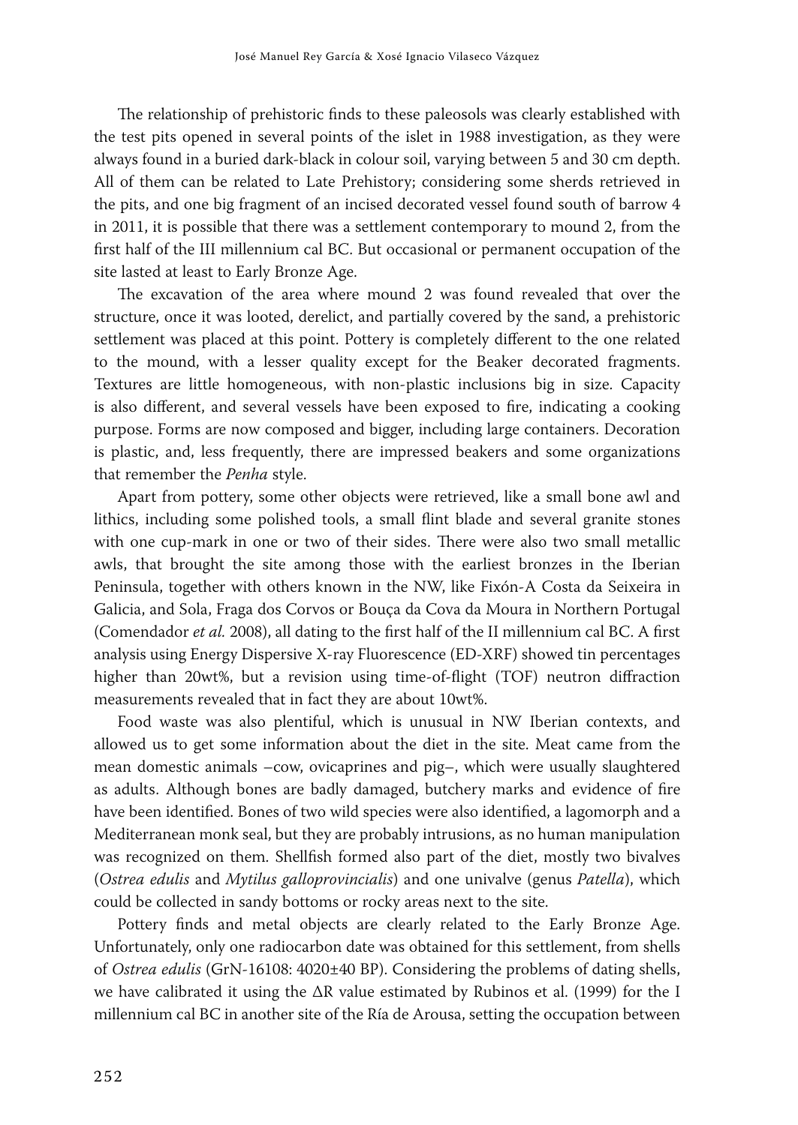The relationship of prehistoric finds to these paleosols was clearly established with the test pits opened in several points of the islet in 1988 investigation, as they were always found in a buried dark-black in colour soil, varying between 5 and 30 cm depth. All of them can be related to Late Prehistory; considering some sherds retrieved in the pits, and one big fragment of an incised decorated vessel found south of barrow 4 in 2011, it is possible that there was a settlement contemporary to mound 2, from the first half of the III millennium cal BC. But occasional or permanent occupation of the site lasted at least to Early Bronze Age.

The excavation of the area where mound 2 was found revealed that over the structure, once it was looted, derelict, and partially covered by the sand, a prehistoric settlement was placed at this point. Pottery is completely different to the one related to the mound, with a lesser quality except for the Beaker decorated fragments. Textures are little homogeneous, with non-plastic inclusions big in size. Capacity is also different, and several vessels have been exposed to fire, indicating a cooking purpose. Forms are now composed and bigger, including large containers. Decoration is plastic, and, less frequently, there are impressed beakers and some organizations that remember the *Penha* style.

Apart from pottery, some other objects were retrieved, like a small bone awl and lithics, including some polished tools, a small flint blade and several granite stones with one cup-mark in one or two of their sides. There were also two small metallic awls, that brought the site among those with the earliest bronzes in the Iberian Peninsula, together with others known in the NW, like Fixón -A Costa da Seixeira in Galicia, and Sola, Fraga dos Corvos or Bouça da Cova da Moura in Northern Portugal (Comendador *et al.* 2008), all dating to the first half of the II millennium cal BC. A first analysis using Energy Dispersive X-ray Fluorescence (ED -XRF) showed tin percentages higher than 20wt%, but a revision using time-of-flight (TOF) neutron diffraction measurements revealed that in fact they are about 10wt%.

Food waste was also plentiful, which is unusual in NW Iberian contexts, and allowed us to get some information about the diet in the site. Meat came from the mean domestic animals –cow, ovicaprines and pig–, which were usually slaughtered as adults. Although bones are badly damaged, butchery marks and evidence of fire have been identified. Bones of two wild species were also identified, a lagomorph and a Mediterranean monk seal, but they are probably intrusions, as no human manipulation was recognized on them. Shellfish formed also part of the diet, mostly two bivalves (*Ostrea edulis* and *Mytilus galloprovincialis*) and one univalve (genus *Patella*), which could be collected in sandy bottoms or rocky areas next to the site.

Pottery finds and metal objects are clearly related to the Early Bronze Age. Unfortunately, only one radiocarbon date was obtained for this settlement, from shells of *Ostrea edulis* (GrN-16108: 4020±40 BP). Considering the problems of dating shells, we have calibrated it using the ∆R value estimated by Rubinos et al. (1999) for the I millennium cal BC in another site of the Ría de Arousa, setting the occupation between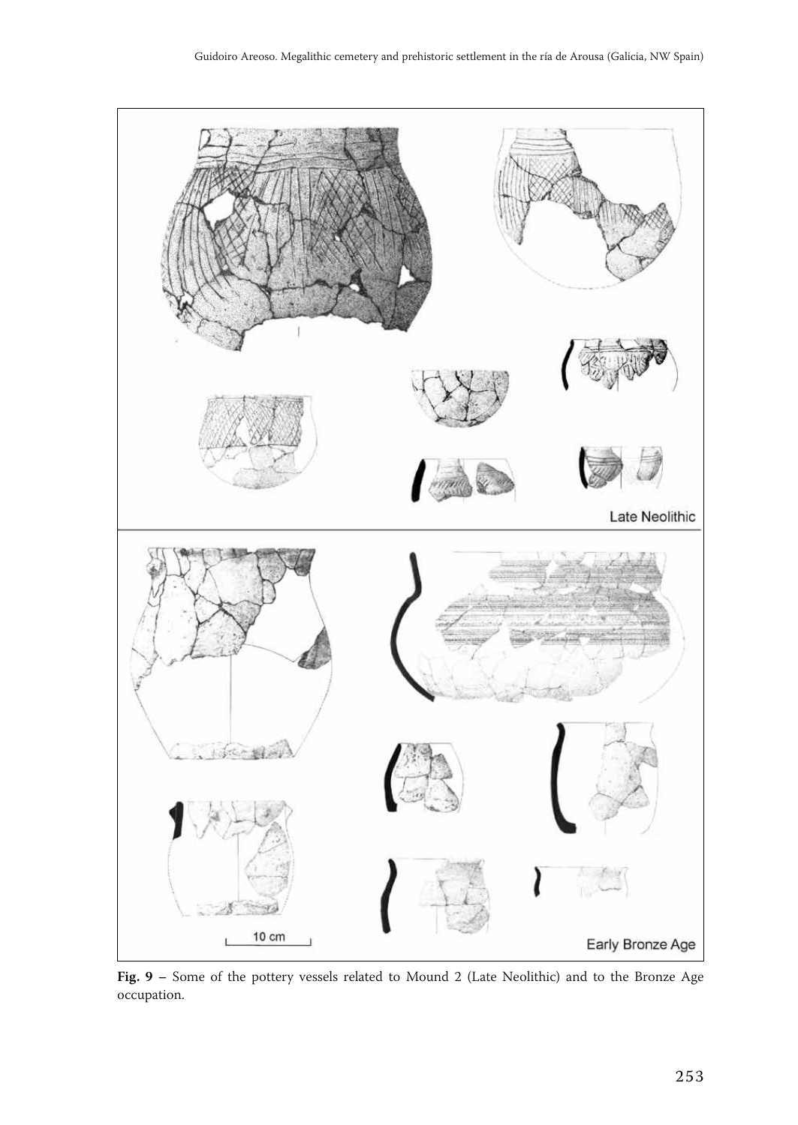

**Fig. 9 –** Some of the pottery vessels related to Mound 2 (Late Neolithic) and to the Bronze Age occupation.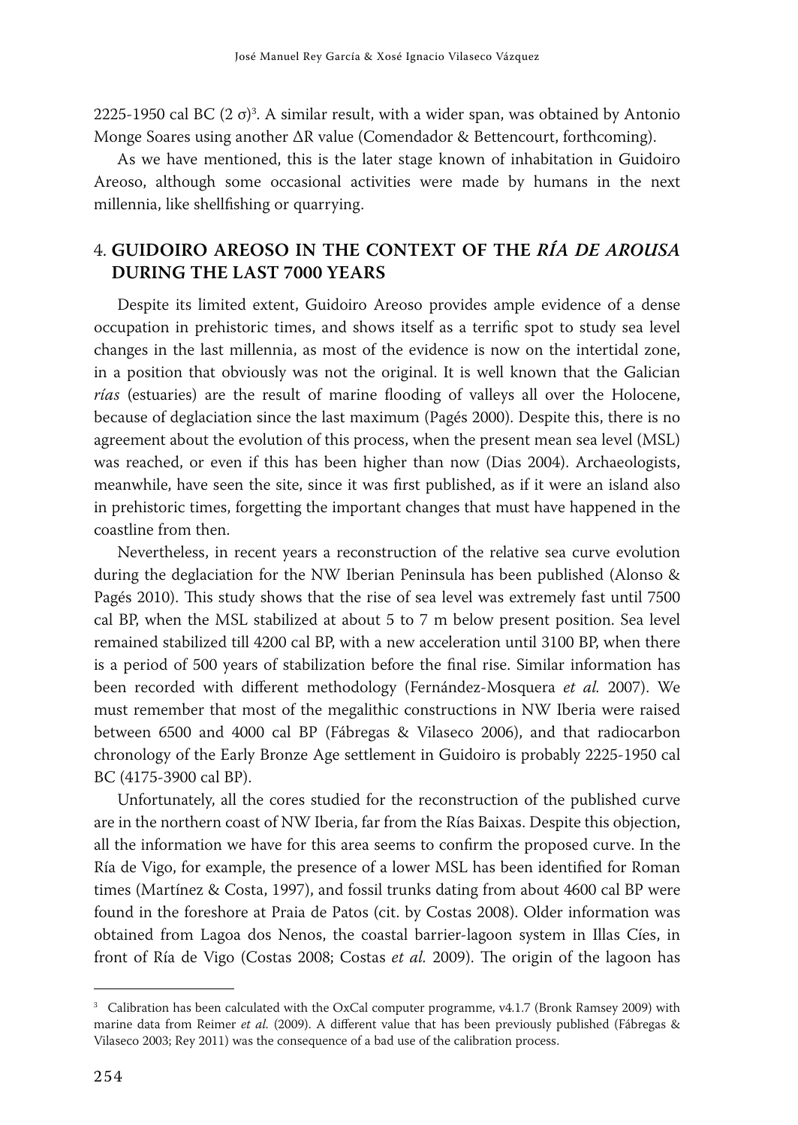2225-1950 cal BC (2 σ)<sup>3</sup>. A similar result, with a wider span, was obtained by Antonio Monge Soares using another ∆R value (Comendador & Bettencourt, forthcoming).

As we have mentioned, this is the later stage known of inhabitation in Guidoiro Areoso, although some occasional activities were made by humans in the next millennia, like shellfishing or quarrying.

### 4. **GUIDOIRO AREOSO IN THE CONTEXT OF THE** *RÍA DE AROUSA* **DURING THE LAST 7000 YEARS**

Despite its limited extent, Guidoiro Areoso provides ample evidence of a dense occupation in prehistoric times, and shows itself as a terrific spot to study sea level changes in the last millennia, as most of the evidence is now on the intertidal zone, in a position that obviously was not the original. It is well known that the Galician *rías* (estuaries) are the result of marine flooding of valleys all over the Holocene, because of deglaciation since the last maximum (Pagés 2000). Despite this, there is no agreement about the evolution of this process, when the present mean sea level (MSL) was reached, or even if this has been higher than now (Dias 2004). Archaeologists, meanwhile, have seen the site, since it was first published, as if it were an island also in prehistoric times, forgetting the important changes that must have happened in the coastline from then.

Nevertheless, in recent years a reconstruction of the relative sea curve evolution during the deglaciation for the NW Iberian Peninsula has been published (Alonso & Pagés 2010). This study shows that the rise of sea level was extremely fast until 7500 cal BP, when the MSL stabilized at about 5 to 7 m below present position. Sea level remained stabilized till 4200 cal BP, with a new acceleration until 3100 BP, when there is a period of 500 years of stabilization before the final rise. Similar information has been recorded with different methodology (Fernández -Mosquera *et al.* 2007). We must remember that most of the megalithic constructions in NW Iberia were raised between 6500 and 4000 cal BP (Fábregas & Vilaseco 2006), and that radiocarbon chronology of the Early Bronze Age settlement in Guidoiro is probably 2225 -1950 cal BC (4175 -3900 cal BP).

Unfortunately, all the cores studied for the reconstruction of the published curve are in the northern coast of NW Iberia, far from the Rías Baixas. Despite this objection, all the information we have for this area seems to confirm the proposed curve. In the Ría de Vigo, for example, the presence of a lower MSL has been identified for Roman times (Martínez & Costa, 1997), and fossil trunks dating from about 4600 cal BP were found in the foreshore at Praia de Patos (cit. by Costas 2008). Older information was obtained from Lagoa dos Nenos, the coastal barrier-lagoon system in Illas Cíes, in front of Ría de Vigo (Costas 2008; Costas *et al.* 2009). The origin of the lagoon has

<sup>&</sup>lt;sup>3</sup> Calibration has been calculated with the OxCal computer programme, v4.1.7 (Bronk Ramsey 2009) with marine data from Reimer *et al.* (2009). A different value that has been previously published (Fábregas & Vilaseco 2003; Rey 2011) was the consequence of a bad use of the calibration process.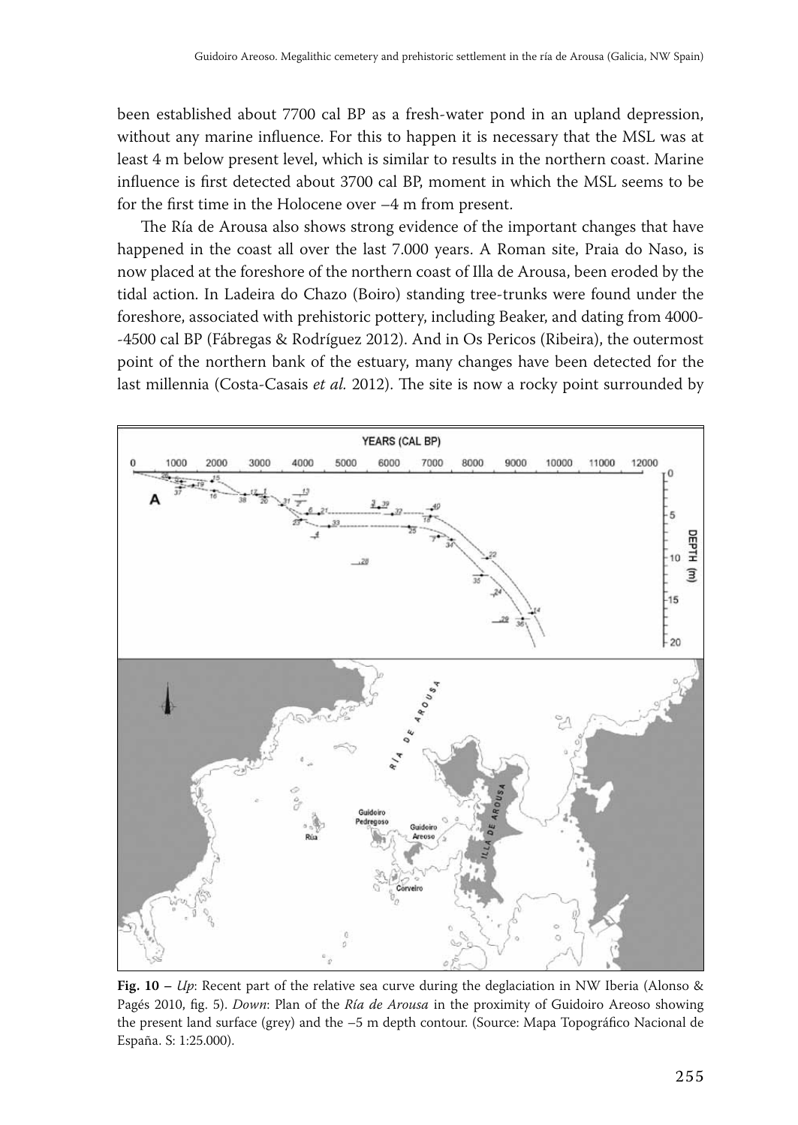been established about 7700 cal BP as a fresh -water pond in an upland depression, without any marine influence. For this to happen it is necessary that the MSL was at least 4 m below present level, which is similar to results in the northern coast. Marine influence is first detected about 3700 cal BP, moment in which the MSL seems to be for the first time in the Holocene over –4 m from present.

The Ría de Arousa also shows strong evidence of the important changes that have happened in the coast all over the last 7.000 years. A Roman site, Praia do Naso, is now placed at the foreshore of the northern coast of Illa de Arousa, been eroded by the tidal action. In Ladeira do Chazo (Boiro) standing tree -trunks were found under the foreshore, associated with prehistoric pottery, including Beaker, and dating from 4000- -4500 cal BP (Fábregas & Rodríguez 2012). And in Os Pericos (Ribeira), the outermost point of the northern bank of the estuary, many changes have been detected for the last millennia (Costa -Casais *et al.* 2012). The site is now a rocky point surrounded by



**Fig. 10 –** *Up*: Recent part of the relative sea curve during the deglaciation in NW Iberia (Alonso & Pagés 2010, fig. 5). *Down*: Plan of the *Ría de Arousa* in the proximity of Guidoiro Areoso showing the present land surface (grey) and the –5 m depth contour. (Source: Mapa Topográfico Nacional de España. S: 1:25.000).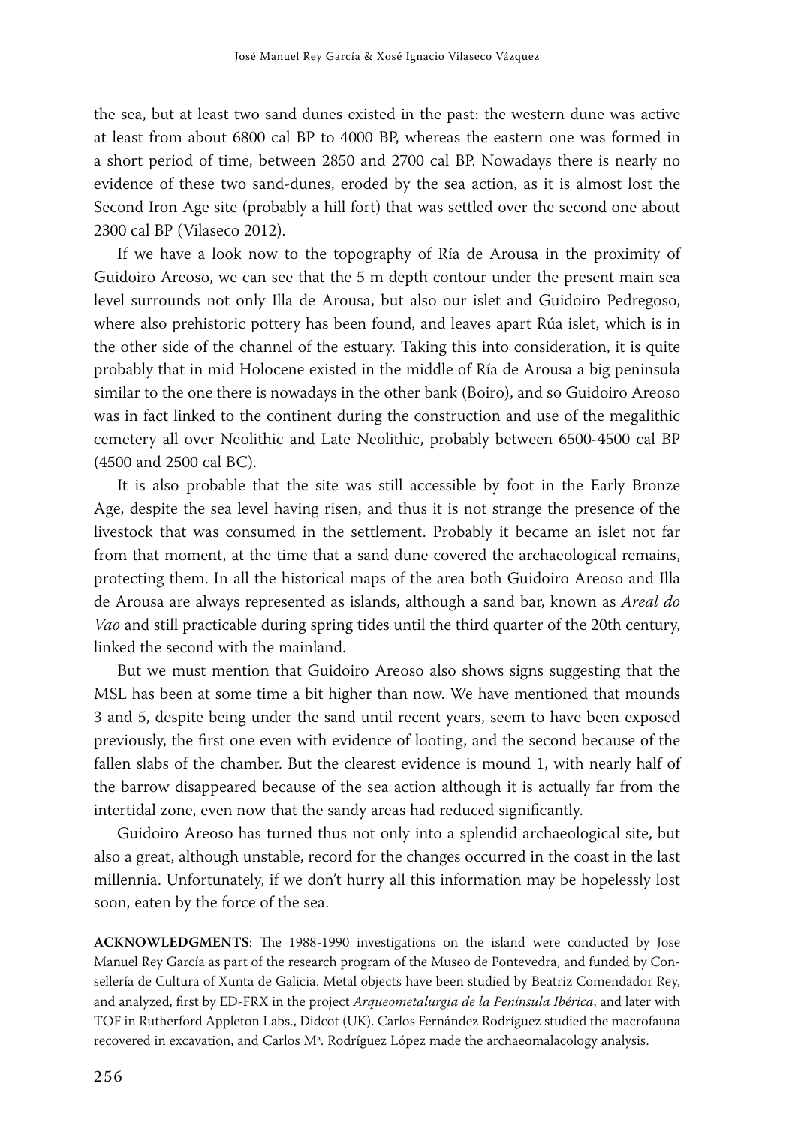the sea, but at least two sand dunes existed in the past: the western dune was active at least from about 6800 cal BP to 4000 BP, whereas the eastern one was formed in a short period of time, between 2850 and 2700 cal BP. Nowadays there is nearly no evidence of these two sand -dunes, eroded by the sea action, as it is almost lost the Second Iron Age site (probably a hill fort) that was settled over the second one about 2300 cal BP (Vilaseco 2012).

If we have a look now to the topography of Ría de Arousa in the proximity of Guidoiro Areoso, we can see that the 5 m depth contour under the present main sea level surrounds not only Illa de Arousa, but also our islet and Guidoiro Pedregoso, where also prehistoric pottery has been found, and leaves apart Rúa islet, which is in the other side of the channel of the estuary. Taking this into consideration, it is quite probably that in mid Holocene existed in the middle of Ría de Arousa a big peninsula similar to the one there is nowadays in the other bank (Boiro), and so Guidoiro Areoso was in fact linked to the continent during the construction and use of the megalithic cemetery all over Neolithic and Late Neolithic, probably between 6500 -4500 cal BP (4500 and 2500 cal BC).

It is also probable that the site was still accessible by foot in the Early Bronze Age, despite the sea level having risen, and thus it is not strange the presence of the livestock that was consumed in the settlement. Probably it became an islet not far from that moment, at the time that a sand dune covered the archaeological remains, protecting them. In all the historical maps of the area both Guidoiro Areoso and Illa de Arousa are always represented as islands, although a sand bar, known as *Areal do Vao* and still practicable during spring tides until the third quarter of the 20th century, linked the second with the mainland.

But we must mention that Guidoiro Areoso also shows signs suggesting that the MSL has been at some time a bit higher than now. We have mentioned that mounds 3 and 5, despite being under the sand until recent years, seem to have been exposed previously, the first one even with evidence of looting, and the second because of the fallen slabs of the chamber. But the clearest evidence is mound 1, with nearly half of the barrow disappeared because of the sea action although it is actually far from the intertidal zone, even now that the sandy areas had reduced significantly.

Guidoiro Areoso has turned thus not only into a splendid archaeological site, but also a great, although unstable, record for the changes occurred in the coast in the last millennia. Unfortunately, if we don't hurry all this information may be hopelessly lost soon, eaten by the force of the sea.

ACKNOWLEDGMENTS: The 1988-1990 investigations on the island were conducted by Jose Manuel Rey García as part of the research program of the Museo de Pontevedra, and funded by Consellería de Cultura of Xunta de Galicia. Metal objects have been studied by Beatriz Comendador Rey, and analyzed, first by ED -FRX in the project *Arqueometalurgia de la Península Ibérica*, and later with TOF in Rutherford Appleton Labs., Didcot (UK). Carlos Fernández Rodríguez studied the macrofauna recovered in excavation, and Carlos Mª. Rodríguez López made the archaeomalacology analysis.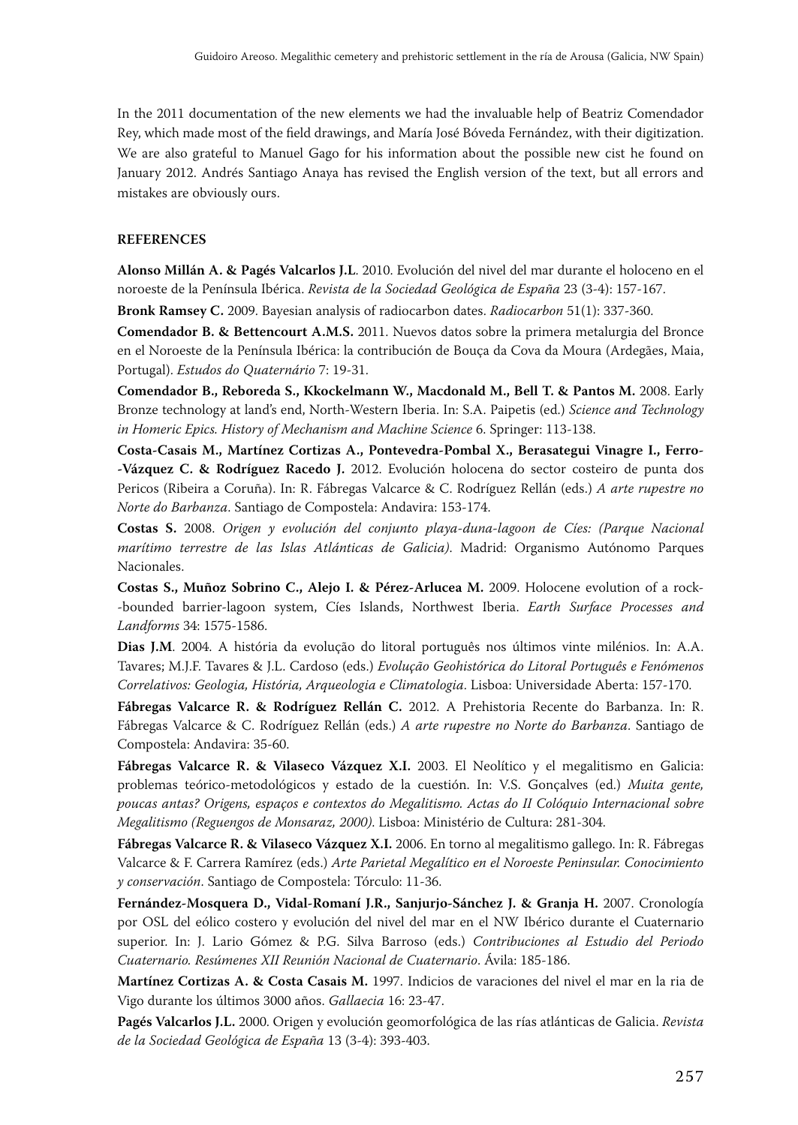In the 2011 documentation of the new elements we had the invaluable help of Beatriz Comendador Rey, which made most of the field drawings, and María José Bóveda Fernández, with their digitization. We are also grateful to Manuel Gago for his information about the possible new cist he found on January 2012. Andrés Santiago Anaya has revised the English version of the text, but all errors and mistakes are obviously ours.

#### **REFERENCES**

**Alonso Millán A. & Pagés Valcarlos J.L**. 2010. Evolución del nivel del mar durante el holoceno en el noroeste de la Península Ibérica. *Revista de la Sociedad Geológica de España* 23 (3 -4): 157 -167.

**Bronk Ramsey C.** 2009. Bayesian analysis of radiocarbon dates. *Radiocarbon* 51(1): 337 -360.

**Comendador B. & Bettencourt A.M.S.** 2011. Nuevos datos sobre la primera metalurgia del Bronce en el Noroeste de la Península Ibérica: la contribución de Bouça da Cova da Moura (Ardegães, Maia, Portugal). *Estudos do Quaternário* 7: 19-31.

**Comendador B., Reboreda S., Kkockelmann W., Macdonald M., Bell T. & Pantos M.** 2008. Early Bronze technology at land's end, North -Western Iberia. In: S.A. Paipetis (ed.) *Science and Technology*  in Homeric Epics. History of Mechanism and Machine Science 6. Springer: 113-138.

**Costa‑Casais M., Martínez Cortizas A., Pontevedra‑Pombal X., Berasategui Vinagre I., Ferro‑ ‑Vázquez C. & Rodríguez Racedo J.** 2012. Evolución holocena do sector costeiro de punta dos Pericos (Ribeira a Coruña). In: R. Fábregas Valcarce & C. Rodríguez Rellán (eds.) *A arte rupestre no Norte do Barbanza*. Santiago de Compostela: Andavira: 153-174.

**Costas S.** 2008. *Origen y evolución del conjunto playa‑duna‑lagoon de Cíes: (Parque Nacional marítimo terrestre de las Islas Atlánticas de Galicia)*. Madrid: Organismo Autónomo Parques Nacionales.

**Costas S., Muñoz Sobrino C., Alejo I. & Pérez‑Arlucea M.** 2009. Holocene evolution of a rock- -bounded barrier-lagoon system, Cíes Islands, Northwest Iberia. *Earth Surface Processes and Landforms* 34: 1575-1586.

**Dias J.M**. 2004. A história da evolução do litoral português nos últimos vinte milénios. In: A.A. Tavares; M.J.F. Tavares & J.L. Cardoso (eds.) *Evolução Geohistórica do Litoral Português e Fenómenos Correlativos: Geologia, História, Arqueologia e Climatologia*. Lisboa: Universidade Aberta: 157 -170.

**Fábregas Valcarce R. & Rodríguez Rellán C.** 2012. A Prehistoria Recente do Barbanza. In: R. Fábregas Valcarce & C. Rodríguez Rellán (eds.) *A arte rupestre no Norte do Barbanza*. Santiago de Compostela: Andavira: 35-60.

**Fábregas Valcarce R. & Vilaseco Vázquez X.I.** 2003. El Neolítico y el megalitismo en Galicia: problemas teórico -metodológicos y estado de la cuestión. In: V.S. Gonçalves (ed.) *Muita gente, poucas antas? Origens, espaços e contextos do Megalitismo. Actas do II Colóquio Internacional sobre Megalitismo (Reguengos de Monsaraz, 2000)*. Lisboa: Ministério de Cultura: 281 -304.

**Fábregas Valcarce R. & Vilaseco Vázquez X.I.** 2006. En torno al megalitismo gallego. In: R. Fábregas Valcarce & F. Carrera Ramírez (eds.) *Arte Parietal Megalítico en el Noroeste Peninsular. Conocimiento y conservación*. Santiago de Compostela: Tórculo: 11 -36.

**Fernández‑Mosquera D., Vidal‑Romaní J.R., Sanjurjo‑Sánchez J. & Granja H.** 2007. Cronología por OSL del eólico costero y evolución del nivel del mar en el NW Ibérico durante el Cuaternario superior. In: J. Lario Gómez & P.G. Silva Barroso (eds.) *Contribuciones al Estudio del Periodo Cuaternario. Resúmenes XII Reunión Nacional de Cuaternario*. Ávila: 185 -186.

**Martínez Cortizas A. & Costa Casais M.** 1997. Indicios de varaciones del nivel el mar en la ria de Vigo durante los últimos 3000 años. *Gallaecia* 16: 23 -47.

**Pagés Valcarlos J.L.** 2000. Origen y evolución geomorfológica de las rías atlánticas de Galicia. *Revista de la Sociedad Geológica de España* 13 (3 -4): 393 -403.